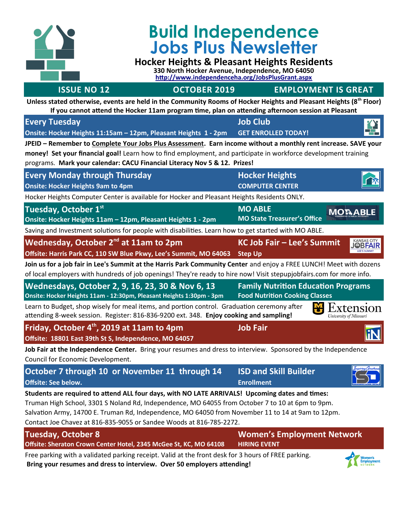

# **Build Independence Jobs Plus Newsletter**

## **Hocker Heights & Pleasant Heights Residents**

**330 North Hocker Avenue, Independence, MO 64050 <http://www.independenceha.org/JobsPlusGrant.aspx>**

### **ISSUE NO 12 OCTOBER 2019 EMPLOYMENT IS GREAT**

**Unless stated otherwise, events are held in the Community Rooms of Hocker Heights and Pleasant Heights (8th Floor) If you cannot attend the Hocker 11am program time, plan on attending afternoon session at Pleasant**

| <b>Every Tuesday</b>                                                                                                                                                                                                                                                                                                                                                            | <b>Job Club</b>                                                                     |                    |  |
|---------------------------------------------------------------------------------------------------------------------------------------------------------------------------------------------------------------------------------------------------------------------------------------------------------------------------------------------------------------------------------|-------------------------------------------------------------------------------------|--------------------|--|
| Onsite: Hocker Heights 11:15am - 12pm, Pleasant Heights 1 - 2pm                                                                                                                                                                                                                                                                                                                 | <b>GET ENROLLED TODAY!</b>                                                          |                    |  |
| JPEID - Remember to Complete Your Jobs Plus Assessment. Earn income without a monthly rent increase. SAVE your                                                                                                                                                                                                                                                                  |                                                                                     |                    |  |
| money! Set your financial goal! Learn how to find employment, and participate in workforce development training                                                                                                                                                                                                                                                                 |                                                                                     |                    |  |
| programs. Mark your calendar: CACU Financial Literacy Nov 5 & 12. Prizes!                                                                                                                                                                                                                                                                                                       |                                                                                     |                    |  |
| <b>Every Monday through Thursday</b>                                                                                                                                                                                                                                                                                                                                            | <b>Hocker Heights</b>                                                               |                    |  |
| <b>Onsite: Hocker Heights 9am to 4pm</b>                                                                                                                                                                                                                                                                                                                                        | <b>COMPUTER CENTER</b>                                                              |                    |  |
| Hocker Heights Computer Center is available for Hocker and Pleasant Heights Residents ONLY.                                                                                                                                                                                                                                                                                     |                                                                                     |                    |  |
| Tuesday, October 1st                                                                                                                                                                                                                                                                                                                                                            | <b>MO ABLE</b><br><b>MO State Treasurer's Office</b>                                | <b>MOTABLE</b>     |  |
| Onsite: Hocker Heights 11am - 12pm, Pleasant Heights 1 - 2pm                                                                                                                                                                                                                                                                                                                    |                                                                                     |                    |  |
| Saving and Investment solutions for people with disabilities. Learn how to get started with MO ABLE.                                                                                                                                                                                                                                                                            |                                                                                     |                    |  |
| Wednesday, October 2 <sup>nd</sup> at 11am to 2pm                                                                                                                                                                                                                                                                                                                               | KC Job Fair - Lee's Summit                                                          | <u>KANSAS ÇITY</u> |  |
| Offsite: Harris Park CC, 110 SW Blue Pkwy, Lee's Summit, MO 64063                                                                                                                                                                                                                                                                                                               | <b>Step Up</b>                                                                      |                    |  |
| Join us for a job fair in Lee's Summit at the Harris Park Community Center and enjoy a FREE LUNCH! Meet with dozens<br>of local employers with hundreds of job openings! They're ready to hire now! Visit stepupjobfairs.com for more info.                                                                                                                                     |                                                                                     |                    |  |
| Wednesdays, October 2, 9, 16, 23, 30 & Nov 6, 13<br>Onsite: Hocker Heights 11am - 12:30pm, Pleasant Heights 1:30pm - 3pm                                                                                                                                                                                                                                                        | <b>Family Nutrition Education Programs</b><br><b>Food Nutrition Cooking Classes</b> |                    |  |
| Learn to Budget, shop wisely for meal items, and portion control. Graduation ceremony after<br>Extension<br>attending 8-week session. Register: 816-836-9200 ext. 348. Enjoy cooking and sampling!<br>University of Missouri                                                                                                                                                    |                                                                                     |                    |  |
| Friday, October 4 <sup>th</sup> , 2019 at 11am to 4pm                                                                                                                                                                                                                                                                                                                           | <b>Job Fair</b>                                                                     |                    |  |
| Offsite: 18801 East 39th St S, Independence, MO 64057                                                                                                                                                                                                                                                                                                                           |                                                                                     |                    |  |
| Job Fair at the Independence Center. Bring your resumes and dress to interview. Sponsored by the Independence<br>Council for Economic Development.                                                                                                                                                                                                                              |                                                                                     |                    |  |
| October 7 through 10 or November 11 through 14                                                                                                                                                                                                                                                                                                                                  | <b>ISD and Skill Builder</b>                                                        |                    |  |
| <b>Offsite: See below.</b>                                                                                                                                                                                                                                                                                                                                                      | <b>Enrollment</b>                                                                   |                    |  |
| Students are required to attend ALL four days, with NO LATE ARRIVALS! Upcoming dates and times:<br>Truman High School, 3301 S Noland Rd, Independence, MO 64055 from October 7 to 10 at 6pm to 9pm.<br>Salvation Army, 14700 E. Truman Rd, Independence, MO 64050 from November 11 to 14 at 9am to 12pm.<br>Contact Joe Chavez at 816-835-9055 or Sandee Woods at 816-785-2272. |                                                                                     |                    |  |
| <b>Tuesday, October 8</b>                                                                                                                                                                                                                                                                                                                                                       | <b>Women's Employment Network</b>                                                   |                    |  |
| Offsite: Sheraton Crown Center Hotel, 2345 McGee St, KC, MO 64108                                                                                                                                                                                                                                                                                                               | <b>HIRING EVENT</b>                                                                 |                    |  |
| Free parking with a validated parking receipt. Valid at the front desk for 3 hours of FREE parking.<br>Bring your resumes and dress to interview. Over 50 employers attending!                                                                                                                                                                                                  |                                                                                     |                    |  |